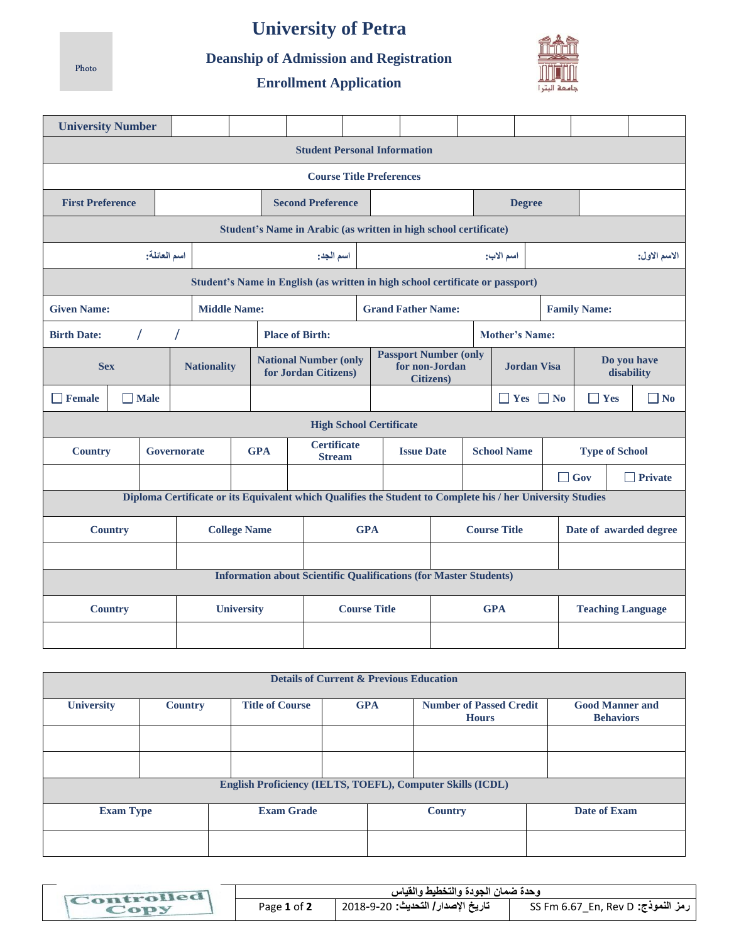## **University of Petra**

Photo

**Deanship of Admission and Registration**



**Enrollment Application**

| <b>University Number</b>                                                                                   |             |  |                                                                               |                        |                          |                                     |                                                                          |                           |                       |                      |                    |                     |                           |                       |  |  |  |
|------------------------------------------------------------------------------------------------------------|-------------|--|-------------------------------------------------------------------------------|------------------------|--------------------------|-------------------------------------|--------------------------------------------------------------------------|---------------------------|-----------------------|----------------------|--------------------|---------------------|---------------------------|-----------------------|--|--|--|
| <b>Student Personal Information</b>                                                                        |             |  |                                                                               |                        |                          |                                     |                                                                          |                           |                       |                      |                    |                     |                           |                       |  |  |  |
| <b>Course Title Preferences</b>                                                                            |             |  |                                                                               |                        |                          |                                     |                                                                          |                           |                       |                      |                    |                     |                           |                       |  |  |  |
| <b>First Preference</b>                                                                                    |             |  |                                                                               |                        | <b>Second Preference</b> |                                     |                                                                          |                           | <b>Degree</b>         |                      |                    |                     |                           |                       |  |  |  |
| Student's Name in Arabic (as written in high school certificate)                                           |             |  |                                                                               |                        |                          |                                     |                                                                          |                           |                       |                      |                    |                     |                           |                       |  |  |  |
| اسم العائلة:                                                                                               |             |  | أسم الجد:                                                                     |                        |                          |                                     |                                                                          | اسم الأب:                 |                       |                      |                    |                     | الاسم الاول:              |                       |  |  |  |
|                                                                                                            |             |  | Student's Name in English (as written in high school certificate or passport) |                        |                          |                                     |                                                                          |                           |                       |                      |                    |                     |                           |                       |  |  |  |
| <b>Given Name:</b>                                                                                         |             |  | <b>Middle Name:</b>                                                           |                        |                          |                                     |                                                                          | <b>Grand Father Name:</b> |                       |                      |                    | <b>Family Name:</b> |                           |                       |  |  |  |
| <b>Birth Date:</b>                                                                                         | $\sqrt{2}$  |  |                                                                               | <b>Place of Birth:</b> |                          |                                     |                                                                          |                           | <b>Mother's Name:</b> |                      |                    |                     |                           |                       |  |  |  |
| <b>Sex</b>                                                                                                 |             |  | <b>National Number (only</b><br><b>Nationality</b><br>for Jordan Citizens)    |                        |                          |                                     | <b>Passport Number (only</b><br>for non-Jordan<br><b>Citizens</b> )      |                           |                       | <b>Jordan Visa</b>   |                    |                     | Do you have<br>disability |                       |  |  |  |
| $\Box$ Female                                                                                              | $\Box$ Male |  |                                                                               |                        |                          |                                     |                                                                          |                           |                       | $\Box$ Yes $\Box$ No |                    | $\mathbf{Yes}$      | $\Box$ No                 |                       |  |  |  |
| <b>High School Certificate</b>                                                                             |             |  |                                                                               |                        |                          |                                     |                                                                          |                           |                       |                      |                    |                     |                           |                       |  |  |  |
| <b>Country</b><br>Governorate                                                                              |             |  | <b>GPA</b>                                                                    |                        |                          | <b>Certificate</b><br><b>Stream</b> |                                                                          | <b>Issue Date</b>         |                       |                      | <b>School Name</b> |                     |                           | <b>Type of School</b> |  |  |  |
|                                                                                                            |             |  |                                                                               |                        |                          |                                     |                                                                          |                           |                       |                      |                    | $\Box$ Gov          | $\Box$ Private            |                       |  |  |  |
| Diploma Certificate or its Equivalent which Qualifies the Student to Complete his / her University Studies |             |  |                                                                               |                        |                          |                                     |                                                                          |                           |                       |                      |                    |                     |                           |                       |  |  |  |
| <b>Country</b>                                                                                             |             |  | <b>College Name</b>                                                           |                        |                          |                                     | <b>GPA</b>                                                               |                           | <b>Course Title</b>   |                      |                    |                     | Date of awarded degree    |                       |  |  |  |
|                                                                                                            |             |  |                                                                               |                        |                          |                                     |                                                                          |                           |                       |                      |                    |                     |                           |                       |  |  |  |
|                                                                                                            |             |  |                                                                               |                        |                          |                                     | <b>Information about Scientific Qualifications (for Master Students)</b> |                           |                       |                      |                    |                     |                           |                       |  |  |  |
| <b>Country</b>                                                                                             |             |  | <b>University</b>                                                             |                        |                          |                                     | <b>Course Title</b>                                                      |                           | <b>GPA</b>            |                      |                    |                     | <b>Teaching Language</b>  |                       |  |  |  |
|                                                                                                            |             |  |                                                                               |                        |                          |                                     |                                                                          |                           |                       |                      |                    |                     |                           |                       |  |  |  |

| <b>Details of Current &amp; Previous Education</b>         |                |                        |            |                |                                                |                                            |  |  |  |
|------------------------------------------------------------|----------------|------------------------|------------|----------------|------------------------------------------------|--------------------------------------------|--|--|--|
| <b>University</b>                                          | <b>Country</b> | <b>Title of Course</b> | <b>GPA</b> |                | <b>Number of Passed Credit</b><br><b>Hours</b> | <b>Good Manner and</b><br><b>Behaviors</b> |  |  |  |
|                                                            |                |                        |            |                |                                                |                                            |  |  |  |
|                                                            |                |                        |            |                |                                                |                                            |  |  |  |
| English Proficiency (IELTS, TOEFL), Computer Skills (ICDL) |                |                        |            |                |                                                |                                            |  |  |  |
| <b>Exam Type</b>                                           |                | <b>Exam Grade</b>      |            | <b>Country</b> |                                                | Date of Exam                               |  |  |  |
|                                                            |                |                        |            |                |                                                |                                            |  |  |  |

| Controlled – | وحدة ضمان الجودة والتخطيط والقياس |                                    |                                   |  |  |  |  |
|--------------|-----------------------------------|------------------------------------|-----------------------------------|--|--|--|--|
| CODY         | Page 1 of 2                       | تاريخ الإصدار / التحديث: 20-0-2018 | رمز النموذج: SS Fm 6.67_En, Rev D |  |  |  |  |